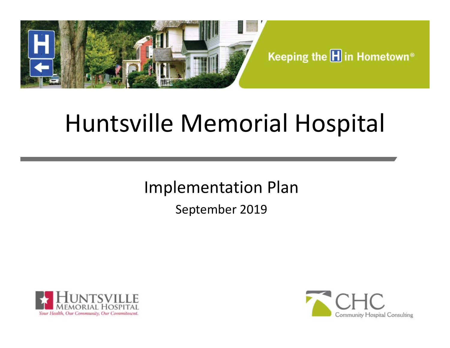

Keeping the **H** in Hometown<sup>®</sup>

# Huntsville Memorial Hospital

Implementation Plan

September 2019



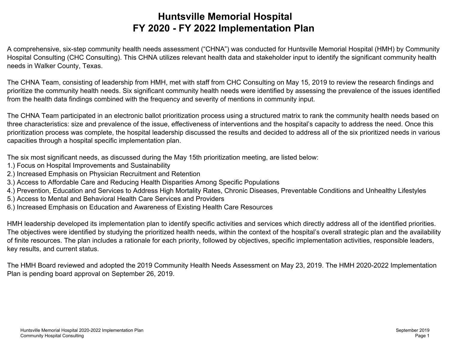# **Huntsville Memorial Hospital FY 2020 - FY 2022 Implementation Plan**

A comprehensive, six-step community health needs assessment ("CHNA") was conducted for Huntsville Memorial Hospital (HMH) by Community Hospital Consulting (CHC Consulting). This CHNA utilizes relevant health data and stakeholder input to identify the significant community health needs in Walker County, Texas.

The CHNA Team, consisting of leadership from HMH, met with staff from CHC Consulting on May 15, 2019 to review the research findings and prioritize the community health needs. Six significant community health needs were identified by assessing the prevalence of the issues identified from the health data findings combined with the frequency and severity of mentions in community input.

The CHNA Team participated in an electronic ballot prioritization process using a structured matrix to rank the community health needs based on three characteristics: size and prevalence of the issue, effectiveness of interventions and the hospital's capacity to address the need. Once this prioritization process was complete, the hospital leadership discussed the results and decided to address all of the six prioritized needs in various capacities through a hospital specific implementation plan.

The six most significant needs, as discussed during the May 15th prioritization meeting, are listed below:

- 1.) Focus on Hospital Improvements and Sustainability
- 2.) Increased Emphasis on Physician Recruitment and Retention
- 3.) Access to Affordable Care and Reducing Health Disparities Among Specific Populations
- 4.) Prevention, Education and Services to Address High Mortality Rates, Chronic Diseases, Preventable Conditions and Unhealthy Lifestyles
- 5.) Access to Mental and Behavioral Health Care Services and Providers
- 6.) Increased Emphasis on Education and Awareness of Existing Health Care Resources

HMH leadership developed its implementation plan to identify specific activities and services which directly address all of the identified priorities. The objectives were identified by studying the prioritized health needs, within the context of the hospital's overall strategic plan and the availability of finite resources. The plan includes a rationale for each priority, followed by objectives, specific implementation activities, responsible leaders, key results, and current status.

The HMH Board reviewed and adopted the 2019 Community Health Needs Assessment on May 23, 2019. The HMH 2020-2022 Implementation Plan is pending board approval on September 26, 2019.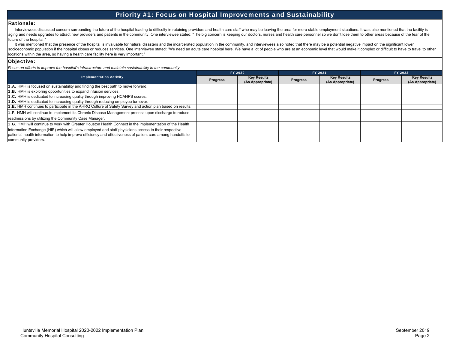## Priority #1: Focus on Hospital Improvements and Sustainability

#### Rationale:

Interviewees discussed concern surrounding the future of the hospital leading to difficulty in retaining providers and health care staff who may be leaving the area for more stable employment situations. It was also mentio aging and needs upgrades to attract new providers and patients in the community. One interviewee stated: "The big concern is keeping our doctors, nurses and health care personnel so we don't lose them to other areas becaus future of the hospital."

It was mentioned that the presence of the hospital is invaluable for natural disasters and the incarcerated population in the community, and interviewees also noted that there may be a potential negative impact on the sign socioeconomic population if the hospital closes or reduces services. One interviewee stated: "We need an acute care hospital here. We have a lot of people who are at an economic level that would make it complex or difficul locations within the area, so having a health care facility here is very important."

#### Objective:

*Focus on efforts to improve the hospital's infrastructure and maintain sustainability in the community*

| <b>Implementation Activity</b>                                                                                                                                                                                      | FY 2020         |                                        | FY 2021         |                                        | FY 2022         |                                        |
|---------------------------------------------------------------------------------------------------------------------------------------------------------------------------------------------------------------------|-----------------|----------------------------------------|-----------------|----------------------------------------|-----------------|----------------------------------------|
|                                                                                                                                                                                                                     | <b>Progress</b> | <b>Key Results</b><br>(As Appropriate) | <b>Progress</b> | <b>Key Results</b><br>(As Appropriate) | <b>Progress</b> | <b>Key Results</b><br>(As Appropriate) |
| <b>1.A.</b> HMH is focused on sustainability and finding the best path to move forward.                                                                                                                             |                 |                                        |                 |                                        |                 |                                        |
| 1.B. HMH is exploring opportunities to expand infusion services.                                                                                                                                                    |                 |                                        |                 |                                        |                 |                                        |
| 1.C. HMH is dedicated to increasing quality through improving HCAHPS scores.                                                                                                                                        |                 |                                        |                 |                                        |                 |                                        |
| 1.D. HMH is dedicated to increasing quality through reducing employee turnover.                                                                                                                                     |                 |                                        |                 |                                        |                 |                                        |
| 1.E. HMH continues to participate in the AHRQ Culture of Safety Survey and action plan based on results.                                                                                                            |                 |                                        |                 |                                        |                 |                                        |
| 1.F. HMH will continue to implement its Chronic Disease Management process upon discharge to reduce                                                                                                                 |                 |                                        |                 |                                        |                 |                                        |
| readmissions by utilizing the Community Case Manager.                                                                                                                                                               |                 |                                        |                 |                                        |                 |                                        |
| 1.G. HMH will continue to work with Greater Houston Health Connect in the implementation of the Health                                                                                                              |                 |                                        |                 |                                        |                 |                                        |
| Information Exchange (HIE) which will allow employed and staff physicians access to their respective<br>patients' health information to help improve efficiency and effectiveness of patient care among handoffs to |                 |                                        |                 |                                        |                 |                                        |
| community providers.                                                                                                                                                                                                |                 |                                        |                 |                                        |                 |                                        |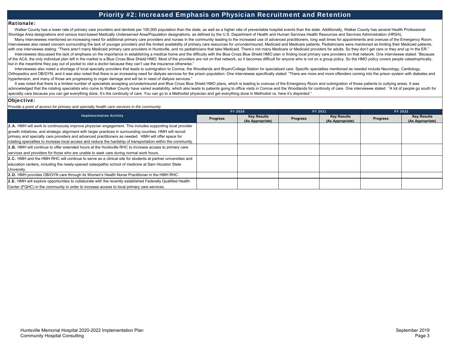## Priority #2: Increased Emphasis on Physician Recruitment and Retention

#### Rationale:

Walker County has a lower rate of primary care providers and dentists per 100,000 population than the state, as well as a higher rate of preventable hospital events than the state. Additionally, Walker County has several H Shortage Area designations and census tract-based Medically Underserved Area/Population designations, as defined by the U.S. Department of Health and Human Services Health Resources and Services Administration (HRSA).

Many interviewees mentioned an increasing need for additional primary care providers and nurses in the community leading to the increased use of advanced practitioners. Iong wait times for appointments and overuse of the E Interviewees also raised concern surrounding the lack of younger providers and the limited availability of primary care resources for un/underinsured, Medicaid and Medicare patients. Pediatricians were mentioned as limitin with one interviewee stating: "There aren't many Medicaid primary care providers in Huntsville, and no pediatricians that take Medicaid. There's not many Medicare or Medicaid providers for adults. So they don't get care or

Interviewees discussed the lack of emphasis on the importance in establishing a medical home and the difficulty with the Blue Cross Blue Shield HMO plan in finding local primary care providers on that network. One intervie of the ACA, the only individual plan left in the market is a Blue Cross Blue Shield HMO. Most of the providers are not on that network, so it becomes difficult for anyone who is not on a group policy. So the HMO policy cov but in the meantime they pay out of pocket to visit a doctor because they can't use the insurance otherwise."

Interviewees also noted a shortage of local specialty providers that leads to outmigration to Conroe, the Woodlands and Bryan/College Station for specialized care. Specific specialties mentioned as needed include Neurology Orthopedics and OB/GYN, and it was also noted that there is an increasing need for dialysis services for the prison population. One interviewee specifically stated: "There are more and more offenders coming into the prison hypertension, and many of those are progressing to organ damage and will be in need of dialysis services."

It was noted that there is a limited number of specialists accepting un/underinsured and Blue Cross Blue Shield HMO plans, which is leading to overuse of the Emergency Room and outmigration of those patients to outlying ar acknowledged that the rotating specialists who come to Walker County have varied availability, which also leads to patients going to office visits in Conroe and the Woodlands for continuity of care. One interviewee stated: specialty care because you can get everything done. It's the continuity of care. You can go to a Methodist physician and get everything done in Methodist vs. here it's disjointed."

#### Objective:

*Provide a point of access for primary and specialty health care services in the community*

|                                                                                                                                                                                                                                                                                                                                     | FY 2020         |                                        | FY 2021  |                                        | FY 2022         |                                        |
|-------------------------------------------------------------------------------------------------------------------------------------------------------------------------------------------------------------------------------------------------------------------------------------------------------------------------------------|-----------------|----------------------------------------|----------|----------------------------------------|-----------------|----------------------------------------|
| <b>Implementation Activity</b>                                                                                                                                                                                                                                                                                                      | <b>Progress</b> | <b>Key Results</b><br>(As Appropriate) | Progress | <b>Key Results</b><br>(As Appropriate) | <b>Progress</b> | <b>Key Results</b><br>(As Appropriate) |
| 2.A. HMH will work to continuously improve physician engagement. This includes supporting local provider                                                                                                                                                                                                                            |                 |                                        |          |                                        |                 |                                        |
| growth initiatives, and strategic alignment with larger practices in surrounding counties. HMH will recruit<br>primary and specialty care providers and advanced practitioners as needed. HMH will offer space for<br>rotating specialties to increase local access and reduce the hardship of transportation within the community. |                 |                                        |          |                                        |                 |                                        |
| <b>2.B.</b> HMH will continue to offer extended hours at the Huntsville RHC to increase access to primary care                                                                                                                                                                                                                      |                 |                                        |          |                                        |                 |                                        |
| services and providers for those who are unable to seek care during normal work hours.                                                                                                                                                                                                                                              |                 |                                        |          |                                        |                 |                                        |
| 2.C. HMH and the HMH RHC will continue to serve as a clinical site for students at partner universities and                                                                                                                                                                                                                         |                 |                                        |          |                                        |                 |                                        |
| education centers, including the newly-opened osteopathic school of medicine at Sam Houston State<br>University.                                                                                                                                                                                                                    |                 |                                        |          |                                        |                 |                                        |
| [2.D. HMH provides OB/GYN care through its Women's Health Nurse Practitioner in the HMH RHC.                                                                                                                                                                                                                                        |                 |                                        |          |                                        |                 |                                        |
| 2.E. HMH will explore opportunities to collaborate with the recently established Federally Qualified Health                                                                                                                                                                                                                         |                 |                                        |          |                                        |                 |                                        |
| Center (FQHC) in the community in order to increase access to local primary care services.                                                                                                                                                                                                                                          |                 |                                        |          |                                        |                 |                                        |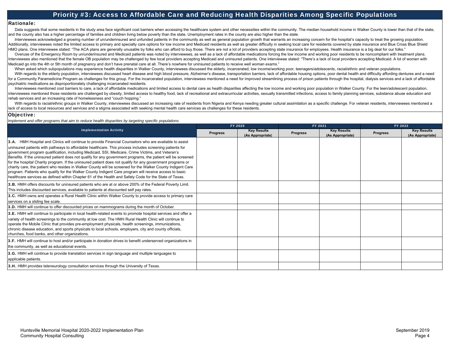### Priority #3: Access to Affordable Care and Reducing Health Disparities Among Specific Populations

#### Rationale:

Data suggests that some residents in the study area face significant cost barriers when accessing the healthcare system and other necessities within the community. The median household income in Walker County is lower than and the county also has a higher percentage of families and children living below poverty than the state. Unemployment rates in the county are also higher than the state.

Interviewees acknowledged a growing number of un/underinsured and unfunded patients in the community as well as general population growth that warrants an increasing concern for the hospital's capacity to treat the growing Additionally, interviewees noted the limited access to primary and specialty care options for low income and Medicaid residents as well as greater difficulty in seeking local care for residents covered by state insurance a HMO plans. One interviewee stated: "The ACA plans are generally unusable by folks who can afford to buy those. There are not a lot of providers accepting state insurance for employees. Health insurance is a big deal for ou

Overuse of the Emergency Room by un/underinsured and Medicaid patients was noted by interviewees, as well as a lack of affordable medications forcing the low income and working poor residents to be noncompliant with treatm Interviewees also mentioned that the female OB population may be challenged by few local providers accepting Medicaid and uninsured patients. One interviewee stated: "There's a lack of local providers accepting Medicaid. A Medicaid go into the 4th or 5th month of pregnancy and don't have prenatal care at all. There's nowhere for uninsured patients to receive well woman exams."

When asked which subpopulations may experience health disparities in Walker County, interviewees discussed the elderly, incarcerated, low income/working poor, teenagers/adolescents, racial/ethnic and veteran populations.

With regards to the elderly population, interviewees discussed heart disease and high blood pressure, Alzheimer's disease, transportation barriers, lack of affordable housing options, poor dental health and difficulty affo for a Community Paramedicine Program as challenges for this group. For the incarcerated population, interviewees mentioned a need for improved streamlining process of prison patients through the hospital, dialysis services psychiatric medications as disproportionately challenging incarcerated residents.

Interviewees mentioned cost barriers to care, a lack of affordable medications and limited access to dental care as health disparities affecting the low income and working poor population in Walker County. For the teen/ado interviewees mentioned those residents are challenged by obesity, limited access to healthy food, lack of recreational and extracurricular activities, sexually transmitted infections, access to family planning services, su rehab services and an increasing rate of homelessness and "couch hopping."

With regards to racial/ethnic groups in Walker County, interviewees discussed an increasing rate of residents from Nigeria and Kenya needing greater cultural assimilation as a specific challenge. For veteran residents, int lack of access to local resources and services and a stigma associated with seeking mental health care services as challenges for these residents.

#### Objective:

*Implement and offer programs that aim to reduce health disparities by targeting specific populations*

| <b>Implementation Activity</b>                                                                                                                                                                                                                                                                                                                                                                                                                                                                                                                                                                                                                                                                                                                                                                                                                                                                   | FY 2020         |                                        | FY 2021         |                                        | FY 2022         |                                        |
|--------------------------------------------------------------------------------------------------------------------------------------------------------------------------------------------------------------------------------------------------------------------------------------------------------------------------------------------------------------------------------------------------------------------------------------------------------------------------------------------------------------------------------------------------------------------------------------------------------------------------------------------------------------------------------------------------------------------------------------------------------------------------------------------------------------------------------------------------------------------------------------------------|-----------------|----------------------------------------|-----------------|----------------------------------------|-----------------|----------------------------------------|
|                                                                                                                                                                                                                                                                                                                                                                                                                                                                                                                                                                                                                                                                                                                                                                                                                                                                                                  | <b>Progress</b> | <b>Key Results</b><br>(As Appropriate) | <b>Progress</b> | <b>Key Results</b><br>(As Appropriate) | <b>Progress</b> | <b>Key Results</b><br>(As Appropriate) |
| <b>3.A.</b> HMH Hospital and Clinics will continue to provide Financial Counselors who are available to assist<br>uninsured patients with pathways to affordable healthcare. This process includes screening patients for<br>government program qualification, including Medicaid, SSI, Medicare, Crime Victims, and Veteran's<br>Benefits. If the uninsured patient does not qualify for any government programs, the patient will be screened<br>for the hospital Charity program. If the uninsured patient does not qualify for any government programs or<br>charity care, the patient who resides in Walker County will be screened for the Walker County Indigent Care<br>program. Patients who qualify for the Walker County Indigent Care program will receive access to basic<br>healthcare services as defined within Chapter 61 of the Health and Safety Code for the State of Texas. |                 |                                        |                 |                                        |                 |                                        |
| 3.B. HMH offers discounts for uninsured patients who are at or above 200% of the Federal Poverty Limit.<br>This includes discounted services, available to patients at discounted self pay rates.                                                                                                                                                                                                                                                                                                                                                                                                                                                                                                                                                                                                                                                                                                |                 |                                        |                 |                                        |                 |                                        |
| 3.C. HMH owns and operates a Rural Health Clinic within Walker County to provide access to primary care<br>services on a sliding fee scale.                                                                                                                                                                                                                                                                                                                                                                                                                                                                                                                                                                                                                                                                                                                                                      |                 |                                        |                 |                                        |                 |                                        |
| 3.D. HMH will continue to offer discounted prices on mammograms during the month of October.                                                                                                                                                                                                                                                                                                                                                                                                                                                                                                                                                                                                                                                                                                                                                                                                     |                 |                                        |                 |                                        |                 |                                        |
| 3.E. HMH will continue to participate in local health-related events to promote hospital services and offer a<br>variety of health screenings to the community at low cost. The HMH Rural Health Clinic will continue to<br>operate the Mobile Clinic that provides pre-employment physicals, health screenings, immunizations,<br>chronic disease education, and sports physicals to local schools, employers, city and county officials,<br>churches, food banks, and other organizations.                                                                                                                                                                                                                                                                                                                                                                                                     |                 |                                        |                 |                                        |                 |                                        |
| 3.F. HMH will continue to host and/or participate in donation drives to benefit underserved organizations in<br>the community, as well as educational events.                                                                                                                                                                                                                                                                                                                                                                                                                                                                                                                                                                                                                                                                                                                                    |                 |                                        |                 |                                        |                 |                                        |
| 3.G. HMH will continue to provide translation services in sign language and multiple languages to<br>applicable patients.                                                                                                                                                                                                                                                                                                                                                                                                                                                                                                                                                                                                                                                                                                                                                                        |                 |                                        |                 |                                        |                 |                                        |
| 3.H. HMH provides teleneurology consultation services through the University of Texas.                                                                                                                                                                                                                                                                                                                                                                                                                                                                                                                                                                                                                                                                                                                                                                                                           |                 |                                        |                 |                                        |                 |                                        |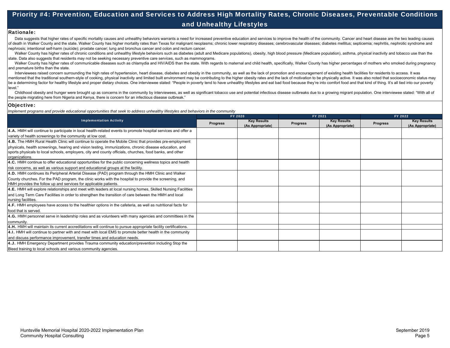# Priority #4: Prevention, Education and Services to Address High Mortality Rates, Chronic Diseases, Preventable Conditions and Unhealthy Lifestyles

#### Rationale:

Data suggests that higher rates of specific mortality causes and unhealthy behaviors warrants a need for increased preventive education and services to improve the health of the community. Cancer and heart disease are the of death in Walker County and the state. Walker County has higher mortality rates than Texas for malignant neoplasms; chronic lower respiratory diseases; cerebrovascular diseases; diabetes mellitus; septicemia; nephritis, nephrosis; intentional self-harm (suicide); prostate cancer; lung and bronchus cancer and colon and rectum cancer.

Walker County has higher rates of chronic conditions and unhealthy lifestyle behaviors such as diabetes (adult and Medicare populations), obesity, high blood pressure (Medicare population), asthma, physical inactivity and state. Data also suggests that residents may not be seeking necessary preventive care services, such as mammograms.

Walker County has higher rates of communicable diseases such as chlamydia and HIV/AIDS than the state. With regards to maternal and child health, specifically, Walker County has higher percentages of mothers who smoked dur and premature births than the state.

Interviewees raised concern surrounding the high rates of hypertension, heart disease, diabetes and obesity in the community, as well as the lack of promotion and encouragement of existing health facilities for residents t mentioned that the traditional southern-style of cooking, physical inactivity and limited built environment may be contributing to the higher obesity rates and the lack of motivation to be physically active. It was also no be a determining factor for healthy lifestyle and proper dietary choices. One interviewee stated: "People in poverty tend to have unhealthy lifestyles and eat bad food because they're into comfort food and that kind of thi level."

Childhood obesity and hunger were brought up as concerns in the community by interviewees, as well as significant tobacco use and potential infectious disease outbreaks due to a growing migrant population. One interviewee the people migrating here from Nigeria and Kenya, there is concern for an infectious disease outbreak."

#### Objective:

*Implement programs and provide educational opportunities that seek to address unhealthy lifestyles and behaviors in the community*

| <b>Implementation Activity</b>                                                                                                                                             | FY 2020  |                                        | FY 2021         |                                        | FY 2022         |                                        |
|----------------------------------------------------------------------------------------------------------------------------------------------------------------------------|----------|----------------------------------------|-----------------|----------------------------------------|-----------------|----------------------------------------|
|                                                                                                                                                                            | Progress | <b>Key Results</b><br>(As Appropriate) | <b>Progress</b> | <b>Key Results</b><br>(As Appropriate) | <b>Progress</b> | <b>Key Results</b><br>(As Appropriate) |
| 4.A. HMH will continue to participate in local health-related events to promote hospital services and offer a                                                              |          |                                        |                 |                                        |                 |                                        |
| variety of health screenings to the community at low cost.                                                                                                                 |          |                                        |                 |                                        |                 |                                        |
| 4.B. The HMH Rural Health Clinic will continue to operate the Mobile Clinic that provides pre-employment                                                                   |          |                                        |                 |                                        |                 |                                        |
| physicals, health screenings, hearing and vision testing, immunizations, chronic disease education, and                                                                    |          |                                        |                 |                                        |                 |                                        |
| sports physicals to local schools, employers, city and county officials, churches, food banks, and other<br>organizations.                                                 |          |                                        |                 |                                        |                 |                                        |
| 4.C. HMH continue to offer educational opportunities for the public concerning wellness topics and health                                                                  |          |                                        |                 |                                        |                 |                                        |
| risk concerns, as well as various support and educational groups at the facility.                                                                                          |          |                                        |                 |                                        |                 |                                        |
| 4.D. HMH continues its Peripheral Arterial Disease (PAD) program through the HMH Clinic and Walker                                                                         |          |                                        |                 |                                        |                 |                                        |
| County churches. For the PAD program, the clinic works with the hospital to provide the screening, and<br>HMH provides the follow up and services for applicable patients. |          |                                        |                 |                                        |                 |                                        |
| 4.E. HMH will explore relationships and meet with leaders at local nursing homes, Skilled Nursing Facilities                                                               |          |                                        |                 |                                        |                 |                                        |
| and Long Term Care Facilities in order to strengthen the transition of care between the HMH and local<br>nursing facilities.                                               |          |                                        |                 |                                        |                 |                                        |
| 4.F. HMH employees have access to the healthier options in the cafeteria, as well as nutritional facts for                                                                 |          |                                        |                 |                                        |                 |                                        |
| food that is served.                                                                                                                                                       |          |                                        |                 |                                        |                 |                                        |
| 4.G. HMH personnel serve in leadership roles and as volunteers with many agencies and committees in the                                                                    |          |                                        |                 |                                        |                 |                                        |
| community.                                                                                                                                                                 |          |                                        |                 |                                        |                 |                                        |
| 4.H. HMH will maintain its current accreditations will continue to pursue appropriate facility certifications.                                                             |          |                                        |                 |                                        |                 |                                        |
| 4.I. HMH will continue to partner with and meet with local EMS to promote better health in the community                                                                   |          |                                        |                 |                                        |                 |                                        |
| and discuss performance improvement, transfer times and education needs.                                                                                                   |          |                                        |                 |                                        |                 |                                        |
| 4.J. HMH Emergency Department provides Trauma community education/prevention including Stop the                                                                            |          |                                        |                 |                                        |                 |                                        |
| Bleed training to local schools and various community agencies.                                                                                                            |          |                                        |                 |                                        |                 |                                        |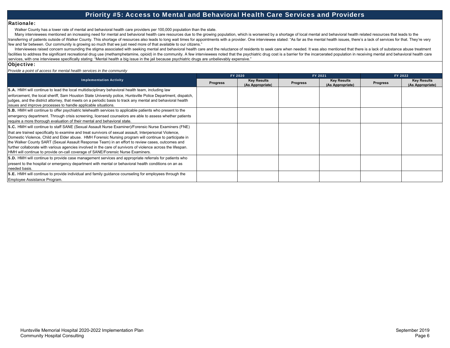### Priority #5: Access to Mental and Behavioral Health Care Services and Providers

#### Rationale:

Walker County has a lower rate of mental and behavioral health care providers per 100,000 population than the state.

Many interviewees mentioned an increasing need for mental and behavioral health care resources due to the growing population, which is worsened by a shortage of local mental and behavioral health related resources that lea transferring of patients outside of Walker County. This shortage of resources also leads to long wait times for appointments with a provider. One interviewee stated: "As far as the mental health issues, there's a lack of s few and far between. Our community is growing so much that we just need more of that available to our citizens."

Interviewees raised concern surrounding the stigma associated with seeking mental and behavioral health care and the reluctance of residents to seek care when needed. It was also mentioned that there is a lack of substance facilities to address the significant recreational drug use (methamphetamine, opioid) in the community. A few interviewees noted that the psychiatric drug cost is a barrier for the incarcerated population in receiving ment services, with one interviewee specifically stating: "Mental health a big issue in the jail because psychiatric drugs are unbelievably expensive."

#### Objective:

*Provide a point of access for mental health services in the community*

| <b>Implementation Activity</b>                                                                                                                                                                                                                                                                                                                                                                                                                                                                                                                                                                                                  | FY 2020         |                                        | FY 2021         |                                        | FY 2022         |                                        |
|---------------------------------------------------------------------------------------------------------------------------------------------------------------------------------------------------------------------------------------------------------------------------------------------------------------------------------------------------------------------------------------------------------------------------------------------------------------------------------------------------------------------------------------------------------------------------------------------------------------------------------|-----------------|----------------------------------------|-----------------|----------------------------------------|-----------------|----------------------------------------|
|                                                                                                                                                                                                                                                                                                                                                                                                                                                                                                                                                                                                                                 | <b>Progress</b> | <b>Key Results</b><br>(As Appropriate) | <b>Progress</b> | <b>Key Results</b><br>(As Appropriate) | <b>Progress</b> | <b>Key Results</b><br>(As Appropriate) |
| 5.A. HMH will continue to lead the local multidisciplinary behavioral health team, including law                                                                                                                                                                                                                                                                                                                                                                                                                                                                                                                                |                 |                                        |                 |                                        |                 |                                        |
| enforcement, the local sheriff, Sam Houston State University police, Huntsville Police Department, dispatch,<br>judges, and the district attorney, that meets on a periodic basis to track any mental and behavioral health<br>issues and improve processes to handle applicable situations.                                                                                                                                                                                                                                                                                                                                    |                 |                                        |                 |                                        |                 |                                        |
| 5.B. HMH will continue to offer psychiatric telehealth services to applicable patients who present to the                                                                                                                                                                                                                                                                                                                                                                                                                                                                                                                       |                 |                                        |                 |                                        |                 |                                        |
| emergency department. Through crisis screening, licensed counselors are able to assess whether patients<br>require a more thorough evaluation of their mental and behavioral state.                                                                                                                                                                                                                                                                                                                                                                                                                                             |                 |                                        |                 |                                        |                 |                                        |
| 5.C. HMH will continue to staff SANE (Sexual Assault Nurse Examiner)/Forensic Nurse Examiners (FNE)<br>that are trained specifically to examine and treat survivors of sexual assault, Interpersonal Violence,<br>Domestic Violence, Child and Elder abuse. HMH Forensic Nursing program will continue to participate in<br>the Walker County SART (Sexual Assault Response Team) in an effort to review cases, outcomes and<br>further collaborate with various agencies involved in the care of survivors of violence across the lifespan.<br>HMH will continue to provide on-call coverage of SANE/Forensic Nurse Examiners. |                 |                                        |                 |                                        |                 |                                        |
| 5.D. HMH will continue to provide case management services and appropriate referrals for patients who<br>present to the hospital or emergency department with mental or behavioral health conditions on an as<br>needed basis.                                                                                                                                                                                                                                                                                                                                                                                                  |                 |                                        |                 |                                        |                 |                                        |
| 5.E. HMH will continue to provide individual and family guidance counseling for employees through the<br>Employee Assistance Program.                                                                                                                                                                                                                                                                                                                                                                                                                                                                                           |                 |                                        |                 |                                        |                 |                                        |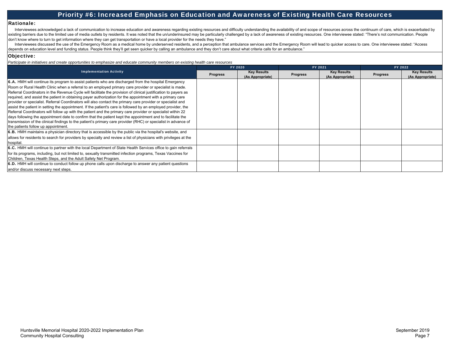### Priority #6: Increased Emphasis on Education and Awareness of Existing Health Care Resources

#### Rationale:

Interviewees acknowledged a lack of communication to increase education and awareness regarding existing resources and difficulty understanding the availability of and scope of resources across the continuum of care, which existing barriers due to the limited use of media outlets by residents. It was noted that the un/underinsured may be particularly challenged by a lack of awareness of existing resources. One interviewee stated: "There's no don't know where to turn to get information where they can get transportation or have a local provider for the needs they have."

Interviewees discussed the use of the Emergency Room as a medical home by underserved residents, and a perception that ambulance services and the Emergency Room will lead to quicker access to care. One interviewee stated: depends on education level and funding status. People think they'll get seen quicker by calling an ambulance and they don't care about what criteria calls for an ambulance."

#### Objective:

*Participate in initiatives and create opportunities to emphasize and educate community members on existing health care resources*

|                                                                                                                                                                                                                                                                                                                                                                                                                                                                                                                                                                                                                                                                                                                                                                                                                                                                                                                                                               | FY 2020         |                                        | FY 2021         |                                        | FY 2022         |                                        |
|---------------------------------------------------------------------------------------------------------------------------------------------------------------------------------------------------------------------------------------------------------------------------------------------------------------------------------------------------------------------------------------------------------------------------------------------------------------------------------------------------------------------------------------------------------------------------------------------------------------------------------------------------------------------------------------------------------------------------------------------------------------------------------------------------------------------------------------------------------------------------------------------------------------------------------------------------------------|-----------------|----------------------------------------|-----------------|----------------------------------------|-----------------|----------------------------------------|
| <b>Implementation Activity</b>                                                                                                                                                                                                                                                                                                                                                                                                                                                                                                                                                                                                                                                                                                                                                                                                                                                                                                                                | <b>Progress</b> | <b>Key Results</b><br>(As Appropriate) | <b>Progress</b> | <b>Key Results</b><br>(As Appropriate) | <b>Progress</b> | <b>Key Results</b><br>(As Appropriate) |
| 6.A. HMH will continue its program to assist patients who are discharged from the hospital Emergency                                                                                                                                                                                                                                                                                                                                                                                                                                                                                                                                                                                                                                                                                                                                                                                                                                                          |                 |                                        |                 |                                        |                 |                                        |
| Room or Rural Health Clinic when a referral to an employed primary care provider or specialist is made.<br>Referral Coordinators in the Revenue Cycle will facilitate the provision of clinical justification to payers as<br>required, and assist the patient in obtaining payer authorization for the appointment with a primary care<br>provider or specialist. Referral Coordinators will also contact the primary care provider or specialist and<br>assist the patient in setting the appointment. If the patient's care is followed by an employed provider, the<br>Referral Coordinators will follow up with the patient and the primary care provider or specialist within 22<br>days following the appointment date to confirm that the patient kept the appointment and to facilitate the<br>transmission of the clinical findings to the patient's primary care provider (RHC) or specialist in advance of<br>the patients follow up appointment. |                 |                                        |                 |                                        |                 |                                        |
| 6.B. HMH maintains a physician directory that is accessible by the public via the hospital's website, and                                                                                                                                                                                                                                                                                                                                                                                                                                                                                                                                                                                                                                                                                                                                                                                                                                                     |                 |                                        |                 |                                        |                 |                                        |
| allows for residents to search for providers by specialty and review a list of physicians with privileges at the<br>hospital.                                                                                                                                                                                                                                                                                                                                                                                                                                                                                                                                                                                                                                                                                                                                                                                                                                 |                 |                                        |                 |                                        |                 |                                        |
| 6.C. HMH will continue to partner with the local Department of State Health Services office to gain referrals                                                                                                                                                                                                                                                                                                                                                                                                                                                                                                                                                                                                                                                                                                                                                                                                                                                 |                 |                                        |                 |                                        |                 |                                        |
| for its programs, including, but not limited to, sexually transmitted infection programs, Texas Vaccines for<br>Children, Texas Health Steps, and the Adult Safety Net Program.                                                                                                                                                                                                                                                                                                                                                                                                                                                                                                                                                                                                                                                                                                                                                                               |                 |                                        |                 |                                        |                 |                                        |
| 6.D. HMH will continue to conduct follow up phone calls upon discharge to answer any patient questions<br>and/or discuss necessary next steps.                                                                                                                                                                                                                                                                                                                                                                                                                                                                                                                                                                                                                                                                                                                                                                                                                |                 |                                        |                 |                                        |                 |                                        |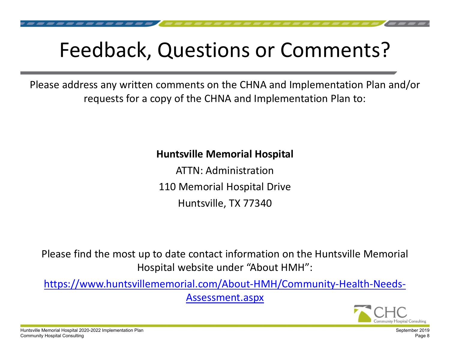# Feedback, Questions or Comments?

Please address any written comments on the CHNA and Implementation Plan and/or requests for a copy of the CHNA and Implementation Plan to:

# **Huntsville Memorial Hospital**

ATTN: Administration 110 Memorial Hospital Drive Huntsville, TX 77340

Please find the most up to date contact information on the Huntsville Memorial Hospital website under "About HMH":

https://www.huntsvillememorial.com/About‐HMH/Community‐Health‐Needs‐ Assessment.aspx



Huntsville Memorial Hospital 2020-2022 Implementation Plan Community Hospital Consulting

September 2019 Page 8